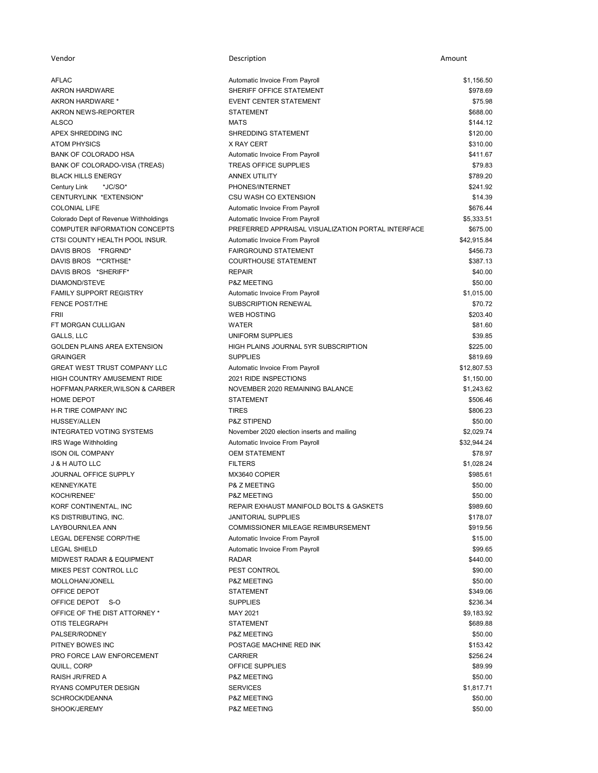| Vendor                                                 | Description                                             | Amount               |
|--------------------------------------------------------|---------------------------------------------------------|----------------------|
| <b>AFLAC</b>                                           | Automatic Invoice From Payroll                          | \$1,156.50           |
| <b>AKRON HARDWARE</b>                                  | SHERIFF OFFICE STATEMENT                                | \$978.69             |
| AKRON HARDWARE *                                       | <b>EVENT CENTER STATEMENT</b>                           | \$75.98              |
| AKRON NEWS-REPORTER                                    | <b>STATEMENT</b>                                        | \$688.00             |
| <b>ALSCO</b>                                           | <b>MATS</b>                                             | \$144.12             |
| APEX SHREDDING INC                                     | SHREDDING STATEMENT                                     | \$120.00             |
| <b>ATOM PHYSICS</b>                                    | X RAY CERT                                              | \$310.00             |
| <b>BANK OF COLORADO HSA</b>                            | Automatic Invoice From Payroll                          | \$411.67             |
| BANK OF COLORADO-VISA (TREAS)                          | <b>TREAS OFFICE SUPPLIES</b>                            | \$79.83              |
| <b>BLACK HILLS ENERGY</b>                              | <b>ANNEX UTILITY</b>                                    | \$789.20             |
| Century Link<br>*JC/SO*                                | PHONES/INTERNET                                         | \$241.92             |
| CENTURYLINK *EXTENSION*                                | CSU WASH CO EXTENSION                                   | \$14.39              |
| <b>COLONIAL LIFE</b>                                   | Automatic Invoice From Payroll                          | \$676.44             |
| Colorado Dept of Revenue Withholdings                  | Automatic Invoice From Payroll                          | \$5,333.51           |
| COMPUTER INFORMATION CONCEPTS                          | PREFERRED APPRAISAL VISUALIZATION PORTAL INTERFACE      | \$675.00             |
| CTSI COUNTY HEALTH POOL INSUR.                         | Automatic Invoice From Payroll                          | \$42,915.84          |
| DAVIS BROS *FRGRND*                                    | FAIRGROUND STATEMENT                                    | \$456.73             |
| DAVIS BROS ** CRTHSE*                                  | <b>COURTHOUSE STATEMENT</b>                             | \$387.13             |
| DAVIS BROS *SHERIFF*                                   | <b>REPAIR</b>                                           | \$40.00              |
| <b>DIAMOND/STEVE</b>                                   | <b>P&amp;Z MEETING</b>                                  | \$50.00              |
| <b>FAMILY SUPPORT REGISTRY</b>                         | Automatic Invoice From Payroll                          | \$1,015.00           |
| <b>FENCE POST/THE</b>                                  | <b>SUBSCRIPTION RENEWAL</b>                             | \$70.72              |
| FRII                                                   | <b>WEB HOSTING</b>                                      | \$203.40             |
| FT MORGAN CULLIGAN                                     | <b>WATER</b>                                            | \$81.60              |
| GALLS, LLC                                             | UNIFORM SUPPLIES                                        | \$39.85              |
| <b>GOLDEN PLAINS AREA EXTENSION</b><br><b>GRAINGER</b> | HIGH PLAINS JOURNAL 5YR SUBSCRIPTION<br><b>SUPPLIES</b> | \$225.00<br>\$819.69 |
| GREAT WEST TRUST COMPANY LLC                           | Automatic Invoice From Payroll                          | \$12,807.53          |
| HIGH COUNTRY AMUSEMENT RIDE                            | 2021 RIDE INSPECTIONS                                   | \$1,150.00           |
| HOFFMAN, PARKER, WILSON & CARBER                       | NOVEMBER 2020 REMAINING BALANCE                         | \$1,243.62           |
| HOME DEPOT                                             | <b>STATEMENT</b>                                        | \$506.46             |
| H-R TIRE COMPANY INC                                   | <b>TIRES</b>                                            | \$806.23             |
| HUSSEY/ALLEN                                           | <b>P&amp;Z STIPEND</b>                                  | \$50.00              |
| <b>INTEGRATED VOTING SYSTEMS</b>                       | November 2020 election inserts and mailing              | \$2,029.74           |
| IRS Wage Withholding                                   | Automatic Invoice From Payroll                          | \$32,944.24          |
| <b>ISON OIL COMPANY</b>                                | <b>OEM STATEMENT</b>                                    | \$78.97              |
| <b>J &amp; H AUTO LLC</b>                              | <b>FILTERS</b>                                          | \$1,028.24           |
| JOURNAL OFFICE SUPPLY                                  | MX3640 COPIER                                           | \$985.61             |
| <b>KENNEY/KATE</b>                                     | P& Z MEETING                                            | \$50.00              |
| KOCH/RENEE'                                            | <b>P&amp;Z MEETING</b>                                  | \$50.00              |
| KORF CONTINENTAL, INC                                  | REPAIR EXHAUST MANIFOLD BOLTS & GASKETS                 | \$989.60             |
| KS DISTRIBUTING, INC.                                  | <b>JANITORIAL SUPPLIES</b>                              | \$178.07             |
| LAYBOURN/LEA ANN                                       | <b>COMMISSIONER MILEAGE REIMBURSEMENT</b>               | \$919.56             |
| LEGAL DEFENSE CORP/THE                                 | Automatic Invoice From Payroll                          | \$15.00              |
| <b>LEGAL SHIELD</b>                                    | Automatic Invoice From Payroll                          | \$99.65              |
| <b>MIDWEST RADAR &amp; EQUIPMENT</b>                   | <b>RADAR</b>                                            | \$440.00             |
| MIKES PEST CONTROL LLC                                 | PEST CONTROL                                            | \$90.00              |
| MOLLOHAN/JONELL                                        | <b>P&amp;Z MEETING</b>                                  | \$50.00<br>\$349.06  |
| OFFICE DEPOT<br>OFFICE DEPOT S-O                       | <b>STATEMENT</b><br><b>SUPPLIES</b>                     | \$236.34             |
| OFFICE OF THE DIST ATTORNEY *                          | <b>MAY 2021</b>                                         | \$9,183.92           |
| OTIS TELEGRAPH                                         | <b>STATEMENT</b>                                        | \$689.88             |
| PALSER/RODNEY                                          | <b>P&amp;Z MEETING</b>                                  | \$50.00              |
| PITNEY BOWES INC                                       | POSTAGE MACHINE RED INK                                 | \$153.42             |
| PRO FORCE LAW ENFORCEMENT                              | <b>CARRIER</b>                                          | \$256.24             |
| QUILL, CORP                                            | OFFICE SUPPLIES                                         | \$89.99              |
| RAISH JR/FRED A                                        | <b>P&amp;Z MEETING</b>                                  | \$50.00              |
| RYANS COMPUTER DESIGN                                  | <b>SERVICES</b>                                         | \$1,817.71           |
| SCHROCK/DEANNA                                         | P&Z MEETING                                             | \$50.00              |
| SHOOK/JEREMY                                           | P&Z MEETING                                             | \$50.00              |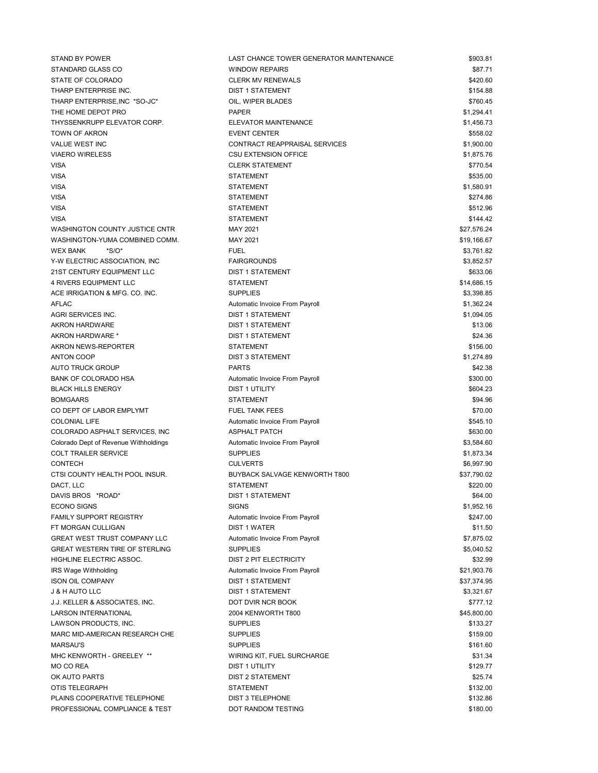| STAND BY POWER                            | LAST CHANCE TOWER GENERATOR MAINTENANCE                 | \$903.81                |
|-------------------------------------------|---------------------------------------------------------|-------------------------|
| STANDARD GLASS CO                         | <b>WINDOW REPAIRS</b>                                   | \$87.71                 |
| STATE OF COLORADO                         | <b>CLERK MV RENEWALS</b>                                | \$420.60                |
| THARP ENTERPRISE INC.                     | <b>DIST 1 STATEMENT</b>                                 | \$154.88                |
| THARP ENTERPRISE, INC *SO-JC*             | OIL, WIPER BLADES                                       | \$760.45                |
| THE HOME DEPOT PRO                        | <b>PAPER</b>                                            | \$1,294.41              |
| THYSSENKRUPP ELEVATOR CORP.               | ELEVATOR MAINTENANCE                                    | \$1,456.73              |
| TOWN OF AKRON                             | <b>EVENT CENTER</b>                                     | \$558.02                |
| <b>VALUE WEST INC</b>                     | CONTRACT REAPPRAISAL SERVICES                           | \$1,900.00              |
| <b>VIAERO WIRELESS</b>                    | <b>CSU EXTENSION OFFICE</b>                             | \$1,875.76              |
| <b>VISA</b>                               | <b>CLERK STATEMENT</b>                                  | \$770.54                |
| <b>VISA</b>                               | <b>STATEMENT</b>                                        | \$535.00                |
| <b>VISA</b>                               | <b>STATEMENT</b>                                        | \$1,580.91              |
| <b>VISA</b>                               | <b>STATEMENT</b>                                        | \$274.86                |
| <b>VISA</b>                               | <b>STATEMENT</b>                                        | \$512.96                |
| <b>VISA</b>                               | <b>STATEMENT</b>                                        | \$144.42                |
| WASHINGTON COUNTY JUSTICE CNTR            | MAY 2021                                                | \$27,576.24             |
| WASHINGTON-YUMA COMBINED COMM.            | <b>MAY 2021</b>                                         | \$19,166.67             |
| $*S/O*$<br><b>WEX BANK</b>                | <b>FUEL</b>                                             | \$3,761.82              |
| Y-W ELECTRIC ASSOCIATION, INC.            | <b>FAIRGROUNDS</b>                                      | \$3,852.57              |
| 21ST CENTURY EQUIPMENT LLC                | <b>DIST 1 STATEMENT</b>                                 | \$633.06                |
| <b>4 RIVERS EQUIPMENT LLC</b>             | <b>STATEMENT</b>                                        | \$14,686.15             |
| ACE IRRIGATION & MFG. CO. INC.            | <b>SUPPLIES</b>                                         | \$3,398.85              |
| <b>AFLAC</b>                              | Automatic Invoice From Payroll                          | \$1,362.24              |
| AGRI SERVICES INC.                        | <b>DIST 1 STATEMENT</b>                                 | \$1,094.05              |
| <b>AKRON HARDWARE</b>                     | <b>DIST 1 STATEMENT</b>                                 | \$13.06                 |
| AKRON HARDWARE *                          | <b>DIST 1 STATEMENT</b>                                 | \$24.36                 |
| AKRON NEWS-REPORTER                       | <b>STATEMENT</b>                                        | \$156.00                |
| <b>ANTON COOP</b>                         | <b>DIST 3 STATEMENT</b>                                 | \$1,274.89              |
| AUTO TRUCK GROUP                          | <b>PARTS</b>                                            | \$42.38                 |
| <b>BANK OF COLORADO HSA</b>               | Automatic Invoice From Payroll                          | \$300.00                |
| <b>BLACK HILLS ENERGY</b>                 | DIST 1 UTILITY                                          | \$604.23                |
| <b>BOMGAARS</b>                           | <b>STATEMENT</b>                                        | \$94.96                 |
| CO DEPT OF LABOR EMPLYMT                  | <b>FUEL TANK FEES</b>                                   | \$70.00                 |
| <b>COLONIAL LIFE</b>                      | Automatic Invoice From Payroll                          | \$545.10                |
| COLORADO ASPHALT SERVICES, INC            | <b>ASPHALT PATCH</b>                                    | \$630.00                |
| Colorado Dept of Revenue Withholdings     | Automatic Invoice From Payroll                          | \$3,584.60              |
| <b>COLT TRAILER SERVICE</b>               | <b>SUPPLIES</b>                                         | \$1,873.34              |
| CONTECH<br>CTSI COUNTY HEALTH POOL INSUR. | <b>CULVERTS</b><br><b>BUYBACK SALVAGE KENWORTH T800</b> | \$6,997.90              |
| DACT, LLC                                 | <b>STATEMENT</b>                                        | \$37,790.02<br>\$220.00 |
| DAVIS BROS *ROAD*                         | <b>DIST 1 STATEMENT</b>                                 | \$64.00                 |
| <b>ECONO SIGNS</b>                        | <b>SIGNS</b>                                            | \$1,952.16              |
| <b>FAMILY SUPPORT REGISTRY</b>            | Automatic Invoice From Payroll                          | \$247.00                |
| FT MORGAN CULLIGAN                        | <b>DIST 1 WATER</b>                                     | \$11.50                 |
| <b>GREAT WEST TRUST COMPANY LLC</b>       | Automatic Invoice From Payroll                          | \$7,875.02              |
| <b>GREAT WESTERN TIRE OF STERLING</b>     | <b>SUPPLIES</b>                                         | \$5,040.52              |
| HIGHLINE ELECTRIC ASSOC.                  | DIST 2 PIT ELECTRICITY                                  | \$32.99                 |
| IRS Wage Withholding                      | Automatic Invoice From Payroll                          | \$21,903.76             |
| <b>ISON OIL COMPANY</b>                   | <b>DIST 1 STATEMENT</b>                                 | \$37,374.95             |
| J & H AUTO LLC                            | <b>DIST 1 STATEMENT</b>                                 | \$3,321.67              |
| J.J. KELLER & ASSOCIATES, INC.            | DOT DVIR NCR BOOK                                       | \$777.12                |
| <b>LARSON INTERNATIONAL</b>               | 2004 KENWORTH T800                                      | \$45,800.00             |
| LAWSON PRODUCTS, INC.                     | <b>SUPPLIES</b>                                         | \$133.27                |
| MARC MID-AMERICAN RESEARCH CHE            | <b>SUPPLIES</b>                                         | \$159.00                |
| <b>MARSAU'S</b>                           | <b>SUPPLIES</b>                                         | \$161.60                |
| MHC KENWORTH - GREELEY **                 | WIRING KIT, FUEL SURCHARGE                              | \$31.34                 |
| MO CO REA                                 | DIST 1 UTILITY                                          | \$129.77                |
| OK AUTO PARTS                             | DIST 2 STATEMENT                                        | \$25.74                 |
| OTIS TELEGRAPH                            | <b>STATEMENT</b>                                        | \$132.00                |
| PLAINS COOPERATIVE TELEPHONE              | DIST 3 TELEPHONE                                        | \$132.86                |
| PROFESSIONAL COMPLIANCE & TEST            | DOT RANDOM TESTING                                      | \$180.00                |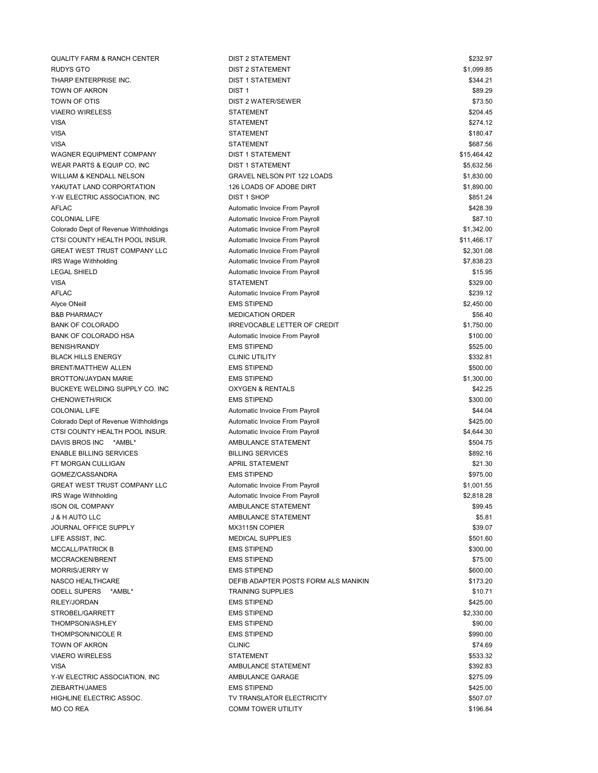QUALITY FARM & RANCH CENTER DIST 2 STATEMENT \$232.97 RUDYS GTO SERVICES AND RUDYS GTO SERVICES AND RUDYS GTO SERVICES AND RUDYS GTO SERVICES AND RUN AND RUN AND RU THARP ENTERPRISE INC. Same and the state of the DIST 1 STATEMENT SAME AND THE STATEMENT SAME. TOWN OF AKRON SERIES AND THE SERIES OF THE SERIES OF THE STATE OF THE STATE OF THE STATE OF THE STATE OF THE S TOWN OF OTIS ST3.50 VIAERO WIRELESS STATEMENT STATEMENT STATEMENT SUBSEXUAL SERVICES SERVICES STATEMENT STATEMENT STATEMENT STATEMENT VISA STATEMENT \$274.12 VISA STATEMENT \$180.47 VISA STATEMENT \$687.56 WAGNER EQUIPMENT COMPANY DIST 1 STATEMENT **EXAMPLE 1** S15,464.42 WEAR PARTS & EQUIP CO, INC **EXECUTE A STATEMENT** AND THE STATEMENT AND RESSURING A STATEMENT AND RESSURING A STATEMENT WILLIAM & KENDALL NELSON GRAVEL NELSON PIT 122 LOADS \$1,830.00 YAKUTAT LAND CORPORTATION 126 LOADS OF ADOBE DIRT 126 VAKUTAT LAND 126 M Y-W ELECTRIC ASSOCIATION. INC **ELECTRIC ASSOCIATION**, INC AFLAC **AUTOMATIC INVOICE From Payroll** Automatic Invoice From Payroll **AUTOMATIC INCOLLECT** \$428.39 COLONIAL LIFE **COLONIAL LIFE Automatic Invoice From Payroll COLONIAL LIFE** \$87.10 Colorado Dept of Revenue Withholdings **Automatic Invoice From Payroll Colorado Dept of Revenue Withholdings** 31,342.00 CTSI COUNTY HEALTH POOL INSUR. COME Automatic Invoice From Payroll **CTSI** COUNTY HEALTH POOL INSURA GREAT WEST TRUST COMPANY LLC Automatic Invoice From Payroll \$2,301.08 IRS Wage Withholding **Invoice From Payroll and Automatic Invoice From Payroll Automatic Invoice From Payroll** \$7,838.23 LEGAL SHIELD **Automatic Invoice From Payroll Automatic Invoice From Payroll Automatic Invoice From Payroll 315.95** VISA STATEMENT \$329.00 AFLAC **AUTOMATIC INVOICE FROM PAYROLL AUTOMATIC INVOICE FROM PAYROLL AUTOMATIC INVOICE FROM PAYROLL AUTOMATIC SCALARY AUTOMATIC SCALARY AUTOMATIC INVOICE FROM PAYROLL AUTOMATIC INVOICE FROM PAYROLL AUTOMATIC SCALARY AUTOMA** Alyce ONeill **EMS STIPEND** EMS STIPEND **EMS STIPEND EMS STIPEND** B&B PHARMACY S56.40 BANK OF COLORADO **INTER OF CREDIT STATES OF CREDIT** \$1,750.00 BANK OF COLORADO HSA **BANK OF COLORADO HSA Automatic Invoice From Payroll BANK OF COLORADO HSA** BENISH/RANDY EMS STIPEND \$525.00 BLACK HILLS ENERGY CLINIC UTILITY \$332.81 BRENT/MATTHEW ALLEN **EMS STIPEND** EMS STIPEND BROTTON/JAYDAN MARIE **EMS STIPEND** EMS STIPEND **EMS** STIPEND BUCKEYE WELDING SUPPLY CO. INC CONSUMING A RENTALS ASSESSED A RENTALS A SACKEYE WELDING SUPPLY CO. INC CHENOWETH/RICK SUO.00 COLONIAL LIFE **Automatic Invoice From Payroll COLONIAL LIFE** \$44.04 Colorado Dept of Revenue Withholdings **Automatic Invoice From Payroll Colorado Dept of Revenue Withholdings** 3425.00 CTSI COUNTY HEALTH POOL INSUR. Automatic Invoice From Payroll **CTSI** COUNTY HEALTH POOL INSUR. DAVIS BROS INC \*AMBL\* AMBULANCE STATEMENT AMBULANCE STATEMENT ASSOLATED AND MULTIMETRIC METALLONIC STATEMENT ENABLE BILLING SERVICES **ENABLE BILLING SERVICES** \$892.16 FT MORGAN CULLIGAN **APRIL STATEMENT** APRIL STATEMENT **APRIL STATEMENT** \$21.30 GOMEZ/CASSANDRA EMS STIPEND \$975.00 GREAT WEST TRUST COMPANY LLC Automatic Invoice From Payroll **Automatic Invoice From Payroll** \$1,001.55 IRS Wage Withholding **Automatic Invoice From Payroll Automatic Invoice From Payroll Automatic Invoice From Payroll 32,818.28** ISON OIL COMPANY SAME STATEMENT AMBULANCE STATEMENT SAME STATEMENT SAME SAME STATEMENT J & H AUTO LLC AMBULANCE STATEMENT \$5.81 JOURNAL OFFICE SUPPLY **MX3115N COPIER MX3115N COPIER** \$39.07 LIFE ASSIST, INC. \$501.60 \$501.60 MEDICAL SUPPLIES \$500.60 \$501.60 \$501.60 \$501.60 \$501.60 \$501.60 \$501.60 \$50 MCCALL/PATRICK B EMS STIPEND EMS STIPEND MCCRACKEN/BRENT STOOP EMS STIPEND EMSIGNED AND STOOP STOOP STOOP STOOP STOOP STOOP STOOP STOOP STOOP STOOP STOOP STOOP STOOP STOOP STOOP STOOP STOOP STOOP STOOP STOOP STOOP STOOP STOOP STOOP STOOP STOOP STOOP STOOP STOOP S MORRIS/JERRY W EMS STIPEND \$600.00 NASCO HEALTHCARE **DEFIB ADAPTER POSTS FORM ALS MANIKIN 1999 12:320** \$173.20 ODELL SUPERS \*AMBL\* **TRAINING SUPPLIES** \$10.71 RILEY/JORDAN EMS STIPEND \$425.00 STROBEL/GARRETT STROBEL/GARRETT SEXUAL SEXUAL EMS STIPEND STROBEL/GARRETT STROBEL/GARRETT STROBEL/GARRETT STROBEL/GARRETT STROBEL/GARRETT STROBEL/GARRETT STROBEL/GARRETT STROBEL/GARRETT STROBEL/GARRETT STROBEL/GARRETT STRO THOMPSON/ASHLEY **EMS STIPEND** EMS STIPEND **EMS** SO 00 THOMPSON/NICOLE R EMS STIPEND EMS STIPEND S990.00 TOWN OF AKRON STATES AND TOWN OF AKRON STATES AND TOWN OF AKRON STATES AND TOWN OF AKRON STATES AND TOWN OF A VIAERO WIRELESS STATEMENT \$533.32 VISA AMBULANCE STATEMENT \$392.83 Y-W ELECTRIC ASSOCIATION, INC AMBULANCE GARAGE **\$275.09** \$275.09 ZIEBARTH/JAMES EMS STIPEND \$425.00 HIGHLINE ELECTRIC ASSOC. TV TRANSLATOR ELECTRICITY \$507.07 MO CO REA GOOD STORE AND TOWER UTILITY THE STORE ASSAULT AND STORE ASSAULT AND STORE ASSAULT ASSAULT ASSAULT A